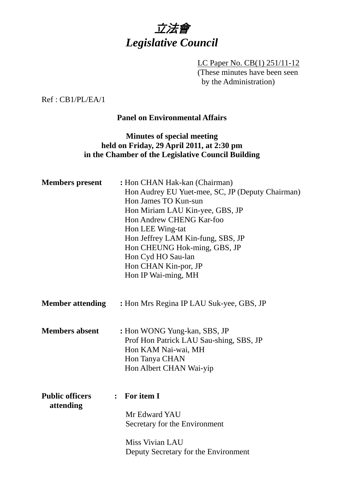

LC Paper No. CB(1) 251/11-12 (These minutes have been seen by the Administration)

Ref : CB1/PL/EA/1

## **Panel on Environmental Affairs**

## **Minutes of special meeting held on Friday, 29 April 2011, at 2:30 pm in the Chamber of the Legislative Council Building**

| <b>Members</b> present              | : Hon CHAN Hak-kan (Chairman)<br>Hon Audrey EU Yuet-mee, SC, JP (Deputy Chairman)<br>Hon James TO Kun-sun<br>Hon Miriam LAU Kin-yee, GBS, JP<br>Hon Andrew CHENG Kar-foo<br>Hon LEE Wing-tat<br>Hon Jeffrey LAM Kin-fung, SBS, JP<br>Hon CHEUNG Hok-ming, GBS, JP<br>Hon Cyd HO Sau-lan<br>Hon CHAN Kin-por, JP<br>Hon IP Wai-ming, MH |
|-------------------------------------|----------------------------------------------------------------------------------------------------------------------------------------------------------------------------------------------------------------------------------------------------------------------------------------------------------------------------------------|
| <b>Member attending</b>             | : Hon Mrs Regina IP LAU Suk-yee, GBS, JP                                                                                                                                                                                                                                                                                               |
| <b>Members absent</b>               | : Hon WONG Yung-kan, SBS, JP<br>Prof Hon Patrick LAU Sau-shing, SBS, JP<br>Hon KAM Nai-wai, MH<br>Hon Tanya CHAN<br>Hon Albert CHAN Wai-yip                                                                                                                                                                                            |
| <b>Public officers</b><br>attending | For item I<br>$\ddot{\cdot}$<br>Mr Edward YAU<br>Secretary for the Environment<br>Miss Vivian LAU<br>Deputy Secretary for the Environment                                                                                                                                                                                              |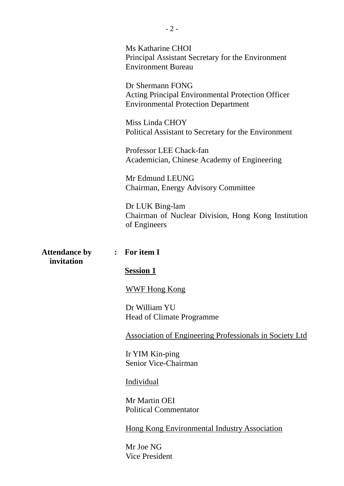Ms Katharine CHOI Principal Assistant Secretary for the Environment Environment Bureau

Dr Shermann FONG Acting Principal Environmental Protection Officer Environmental Protection Department

Miss Linda CHOY Political Assistant to Secretary for the Environment

Professor LEE Chack-fan Academician, Chinese Academy of Engineering

Mr Edmund LEUNG Chairman, Energy Advisory Committee

Dr LUK Bing-lam Chairman of Nuclear Division, Hong Kong Institution of Engineers

**Attendance by : For item I invitation** 

#### **Session 1**

WWF Hong Kong

Dr William YU Head of Climate Programme

Association of Engineering Professionals in Society Ltd

Ir YIM Kin-ping Senior Vice-Chairman

#### Individual

Mr Martin OEI Political Commentator

Hong Kong Environmental Industry Association

Mr Joe NG Vice President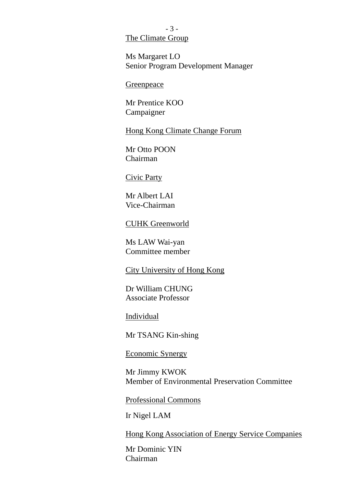### - 3 - The Climate Group

Ms Margaret LO Senior Program Development Manager

**Greenpeace** 

Mr Prentice KOO Campaigner

Hong Kong Climate Change Forum

Mr Otto POON Chairman

#### Civic Party

Mr Albert LAI Vice-Chairman

#### CUHK Greenworld

Ms LAW Wai-yan Committee member

## City University of Hong Kong

Dr William CHUNG Associate Professor

Individual

Mr TSANG Kin-shing

## Economic Synergy

Mr Jimmy KWOK Member of Environmental Preservation Committee

Professional Commons

Ir Nigel LAM

Hong Kong Association of Energy Service Companies

Mr Dominic YIN Chairman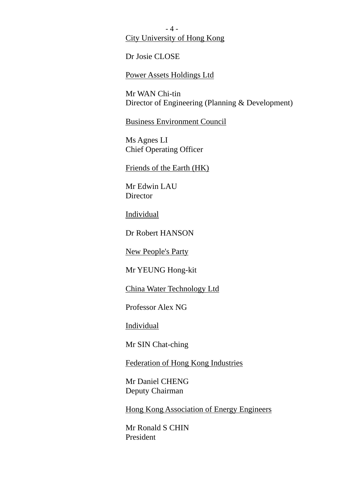- 4 - City University of Hong Kong

Dr Josie CLOSE

Power Assets Holdings Ltd

Mr WAN Chi-tin Director of Engineering (Planning & Development)

Business Environment Council

Ms Agnes LI Chief Operating Officer

Friends of the Earth (HK)

Mr Edwin LAU **Director** 

Individual

Dr Robert HANSON

New People's Party

Mr YEUNG Hong-kit

China Water Technology Ltd

Professor Alex NG

Individual

Mr SIN Chat-ching

Federation of Hong Kong Industries

Mr Daniel CHENG Deputy Chairman

Hong Kong Association of Energy Engineers

Mr Ronald S CHIN President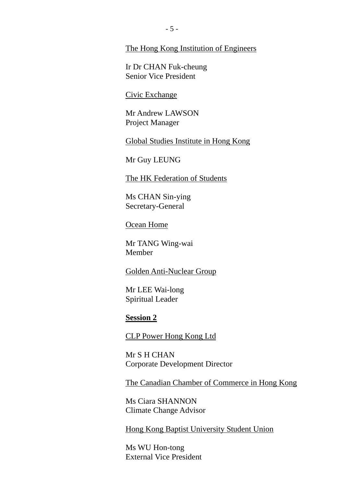#### The Hong Kong Institution of Engineers

Ir Dr CHAN Fuk-cheung Senior Vice President

#### Civic Exchange

Mr Andrew LAWSON Project Manager

Global Studies Institute in Hong Kong

Mr Guy LEUNG

The HK Federation of Students

Ms CHAN Sin-ying Secretary-General

Ocean Home

Mr TANG Wing-wai Member

#### Golden Anti-Nuclear Group

Mr LEE Wai-long Spiritual Leader

#### **Session 2**

CLP Power Hong Kong Ltd

Mr S H CHAN Corporate Development Director

The Canadian Chamber of Commerce in Hong Kong

Ms Ciara SHANNON Climate Change Advisor

Hong Kong Baptist University Student Union

Ms WU Hon-tong External Vice President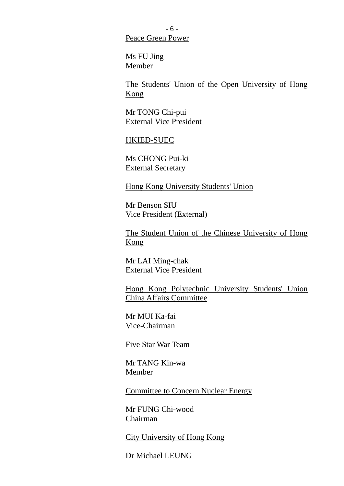- 6 - Peace Green Power

Ms FU Jing Member

The Students' Union of the Open University of Hong Kong

Mr TONG Chi-pui External Vice President

#### HKIED-SUEC

Ms CHONG Pui-ki External Secretary

Hong Kong University Students' Union

Mr Benson SIU Vice President (External)

The Student Union of the Chinese University of Hong Kong

Mr LAI Ming-chak External Vice President

Hong Kong Polytechnic University Students' Union China Affairs Committee

Mr MUI Ka-fai Vice-Chairman

Five Star War Team

Mr TANG Kin-wa Member

Committee to Concern Nuclear Energy

Mr FUNG Chi-wood Chairman

City University of Hong Kong

Dr Michael LEUNG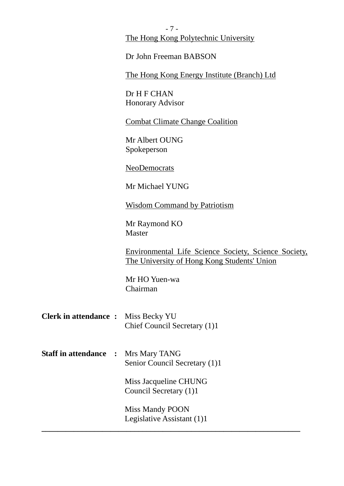- 7 - The Hong Kong Polytechnic University

Dr John Freeman BABSON

The Hong Kong Energy Institute (Branch) Ltd

Dr H F CHAN Honorary Advisor

Combat Climate Change Coalition

Mr Albert OUNG Spokeperson

NeoDemocrats

Mr Michael YUNG

Wisdom Command by Patriotism

Mr Raymond KO Master

Environmental Life Science Society, Science Society, The University of Hong Kong Students' Union

Mr HO Yuen-wa Chairman

- **Clerk in attendance :** Miss Becky YU Chief Council Secretary (1)1
- **Staff in attendance :** Mrs Mary TANG Senior Council Secretary (1)1

 Miss Jacqueline CHUNG Council Secretary (1)1

Miss Mandy POON Legislative Assistant (1)1

**\_\_\_\_\_\_\_\_\_\_\_\_\_\_\_\_\_\_\_\_\_\_\_\_\_\_\_\_\_\_\_\_\_\_\_\_\_\_\_\_\_\_\_\_\_\_\_\_\_\_\_\_\_\_\_\_\_\_\_\_\_\_\_\_**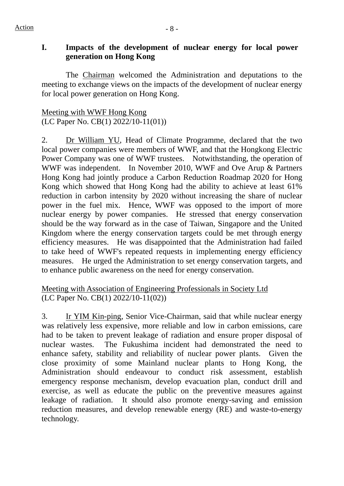$Action$   $-8$  -

# **I. Impacts of the development of nuclear energy for local power generation on Hong Kong**

The Chairman welcomed the Administration and deputations to the meeting to exchange views on the impacts of the development of nuclear energy for local power generation on Hong Kong.

Meeting with WWF Hong Kong (LC Paper No. CB(1) 2022/10-11(01))

2. Dr William YU, Head of Climate Programme, declared that the two local power companies were members of WWF, and that the Hongkong Electric Power Company was one of WWF trustees. Notwithstanding, the operation of WWF was independent. In November 2010, WWF and Ove Arup & Partners Hong Kong had jointly produce a Carbon Reduction Roadmap 2020 for Hong Kong which showed that Hong Kong had the ability to achieve at least 61% reduction in carbon intensity by 2020 without increasing the share of nuclear power in the fuel mix. Hence, WWF was opposed to the import of more nuclear energy by power companies. He stressed that energy conservation should be the way forward as in the case of Taiwan, Singapore and the United Kingdom where the energy conservation targets could be met through energy efficiency measures. He was disappointed that the Administration had failed to take heed of WWF's repeated requests in implementing energy efficiency measures. He urged the Administration to set energy conservation targets, and to enhance public awareness on the need for energy conservation.

Meeting with Association of Engineering Professionals in Society Ltd (LC Paper No. CB(1) 2022/10-11(02))

3. Ir YIM Kin-ping, Senior Vice-Chairman, said that while nuclear energy was relatively less expensive, more reliable and low in carbon emissions, care had to be taken to prevent leakage of radiation and ensure proper disposal of nuclear wastes. The Fukushima incident had demonstrated the need to enhance safety, stability and reliability of nuclear power plants. Given the close proximity of some Mainland nuclear plants to Hong Kong, the Administration should endeavour to conduct risk assessment, establish emergency response mechanism, develop evacuation plan, conduct drill and exercise, as well as educate the public on the preventive measures against leakage of radiation. It should also promote energy-saving and emission reduction measures, and develop renewable energy (RE) and waste-to-energy technology.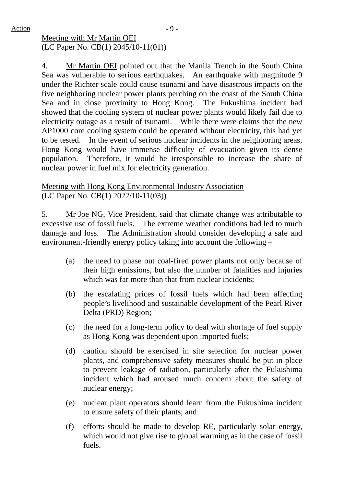# Meeting with Mr Martin OEI (LC Paper No. CB(1) 2045/10-11(01))

4. Mr Martin OEI pointed out that the Manila Trench in the South China Sea was vulnerable to serious earthquakes. An earthquake with magnitude 9 under the Richter scale could cause tsunami and have disastrous impacts on the five neighboring nuclear power plants perching on the coast of the South China Sea and in close proximity to Hong Kong. The Fukushima incident had showed that the cooling system of nuclear power plants would likely fail due to electricity outage as a result of tsunami. While there were claims that the new AP1000 core cooling system could be operated without electricity, this had yet to be tested. In the event of serious nuclear incidents in the neighboring areas, Hong Kong would have immense difficulty of evacuation given its dense population. Therefore, it would be irresponsible to increase the share of nuclear power in fuel mix for electricity generation.

# Meeting with Hong Kong Environmental Industry Association (LC Paper No. CB(1) 2022/10-11(03))

5. Mr Joe NG, Vice President, said that climate change was attributable to excessive use of fossil fuels. The extreme weather conditions had led to much damage and loss. The Administration should consider developing a safe and environment-friendly energy policy taking into account the following –

- (a) the need to phase out coal-fired power plants not only because of their high emissions, but also the number of fatalities and injuries which was far more than that from nuclear incidents:
- (b) the escalating prices of fossil fuels which had been affecting people's livelihood and sustainable development of the Pearl River Delta (PRD) Region;
- (c) the need for a long-term policy to deal with shortage of fuel supply as Hong Kong was dependent upon imported fuels;
- (d) caution should be exercised in site selection for nuclear power plants, and comprehensive safety measures should be put in place to prevent leakage of radiation, particularly after the Fukushima incident which had aroused much concern about the safety of nuclear energy;
- (e) nuclear plant operators should learn from the Fukushima incident to ensure safety of their plants; and
- (f) efforts should be made to develop RE, particularly solar energy, which would not give rise to global warming as in the case of fossil fuels.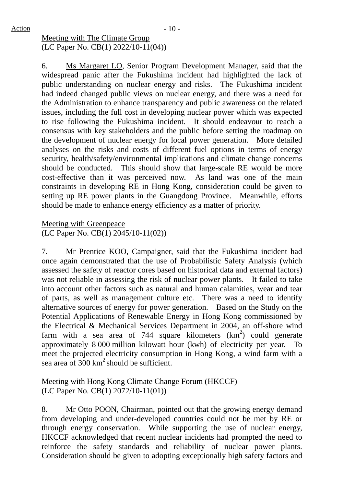Meeting with The Climate Group (LC Paper No. CB(1) 2022/10-11(04))

6. Ms Margaret LO, Senior Program Development Manager, said that the widespread panic after the Fukushima incident had highlighted the lack of public understanding on nuclear energy and risks. The Fukushima incident had indeed changed public views on nuclear energy, and there was a need for the Administration to enhance transparency and public awareness on the related issues, including the full cost in developing nuclear power which was expected to rise following the Fukushima incident. It should endeavour to reach a consensus with key stakeholders and the public before setting the roadmap on the development of nuclear energy for local power generation. More detailed analyses on the risks and costs of different fuel options in terms of energy security, health/safety/environmental implications and climate change concerns should be conducted. This should show that large-scale RE would be more cost-effective than it was perceived now. As land was one of the main constraints in developing RE in Hong Kong, consideration could be given to setting up RE power plants in the Guangdong Province. Meanwhile, efforts should be made to enhance energy efficiency as a matter of priority.

Meeting with Greenpeace (LC Paper No. CB(1) 2045/10-11(02))

7. Mr Prentice KOO, Campaigner, said that the Fukushima incident had once again demonstrated that the use of Probabilistic Safety Analysis (which assessed the safety of reactor cores based on historical data and external factors) was not reliable in assessing the risk of nuclear power plants. It failed to take into account other factors such as natural and human calamities, wear and tear of parts, as well as management culture etc. There was a need to identify alternative sources of energy for power generation. Based on the Study on the Potential Applications of Renewable Energy in Hong Kong commissioned by the Electrical & Mechanical Services Department in 2004, an off-shore wind farm with a sea area of 744 square kilometers  $(km^2)$  could generate approximately 8 000 million kilowatt hour (kwh) of electricity per year. To meet the projected electricity consumption in Hong Kong, a wind farm with a sea area of  $300 \text{ km}^2$  should be sufficient.

Meeting with Hong Kong Climate Change Forum (HKCCF) (LC Paper No. CB(1) 2072/10-11(01))

8. Mr Otto POON, Chairman, pointed out that the growing energy demand from developing and under-developed countries could not be met by RE or through energy conservation. While supporting the use of nuclear energy, HKCCF acknowledged that recent nuclear incidents had prompted the need to reinforce the safety standards and reliability of nuclear power plants. Consideration should be given to adopting exceptionally high safety factors and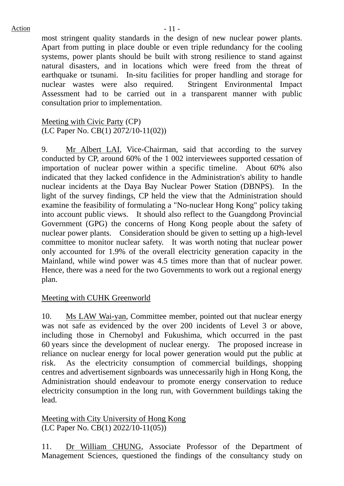most stringent quality standards in the design of new nuclear power plants. Apart from putting in place double or even triple redundancy for the cooling systems, power plants should be built with strong resilience to stand against natural disasters, and in locations which were freed from the threat of earthquake or tsunami. In-situ facilities for proper handling and storage for nuclear wastes were also required. Stringent Environmental Impact Assessment had to be carried out in a transparent manner with public consultation prior to implementation.

Meeting with Civic Party (CP) (LC Paper No. CB(1) 2072/10-11(02))

9. Mr Albert LAI, Vice-Chairman, said that according to the survey conducted by CP, around 60% of the 1 002 interviewees supported cessation of importation of nuclear power within a specific timeline. About 60% also indicated that they lacked confidence in the Administration's ability to handle nuclear incidents at the Daya Bay Nuclear Power Station (DBNPS). In the light of the survey findings, CP held the view that the Administration should examine the feasibility of formulating a "No-nuclear Hong Kong" policy taking into account public views. It should also reflect to the Guangdong Provincial Government (GPG) the concerns of Hong Kong people about the safety of nuclear power plants. Consideration should be given to setting up a high-level committee to monitor nuclear safety. It was worth noting that nuclear power only accounted for 1.9% of the overall electricity generation capacity in the Mainland, while wind power was 4.5 times more than that of nuclear power. Hence, there was a need for the two Governments to work out a regional energy plan.

## Meeting with CUHK Greenworld

10. Ms LAW Wai-yan, Committee member, pointed out that nuclear energy was not safe as evidenced by the over 200 incidents of Level 3 or above, including those in Chernobyl and Fukushima, which occurred in the past 60 years since the development of nuclear energy. The proposed increase in reliance on nuclear energy for local power generation would put the public at risk. As the electricity consumption of commercial buildings, shopping centres and advertisement signboards was unnecessarily high in Hong Kong, the Administration should endeavour to promote energy conservation to reduce electricity consumption in the long run, with Government buildings taking the lead.

Meeting with City University of Hong Kong (LC Paper No. CB(1) 2022/10-11(05))

11. Dr William CHUNG, Associate Professor of the Department of Management Sciences, questioned the findings of the consultancy study on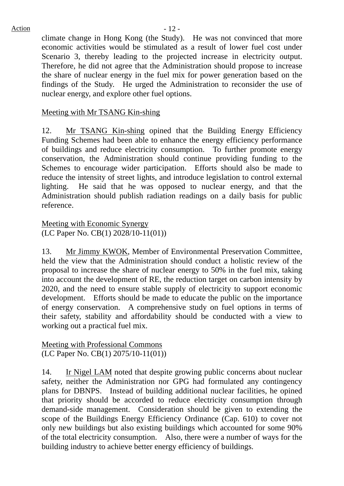climate change in Hong Kong (the Study). He was not convinced that more economic activities would be stimulated as a result of lower fuel cost under Scenario 3, thereby leading to the projected increase in electricity output. Therefore, he did not agree that the Administration should propose to increase the share of nuclear energy in the fuel mix for power generation based on the findings of the Study. He urged the Administration to reconsider the use of nuclear energy, and explore other fuel options.

## Meeting with Mr TSANG Kin-shing

12. Mr TSANG Kin-shing opined that the Building Energy Efficiency Funding Schemes had been able to enhance the energy efficiency performance of buildings and reduce electricity consumption. To further promote energy conservation, the Administration should continue providing funding to the Schemes to encourage wider participation. Efforts should also be made to reduce the intensity of street lights, and introduce legislation to control external lighting. He said that he was opposed to nuclear energy, and that the Administration should publish radiation readings on a daily basis for public reference.

Meeting with Economic Synergy (LC Paper No. CB(1) 2028/10-11(01))

13. Mr Jimmy KWOK, Member of Environmental Preservation Committee, held the view that the Administration should conduct a holistic review of the proposal to increase the share of nuclear energy to 50% in the fuel mix, taking into account the development of RE, the reduction target on carbon intensity by 2020, and the need to ensure stable supply of electricity to support economic development. Efforts should be made to educate the public on the importance of energy conservation. A comprehensive study on fuel options in terms of their safety, stability and affordability should be conducted with a view to working out a practical fuel mix.

Meeting with Professional Commons (LC Paper No. CB(1) 2075/10-11(01))

14. Ir Nigel LAM noted that despite growing public concerns about nuclear safety, neither the Administration nor GPG had formulated any contingency plans for DBNPS. Instead of building additional nuclear facilities, he opined that priority should be accorded to reduce electricity consumption through demand-side management. Consideration should be given to extending the scope of the Buildings Energy Efficiency Ordinance (Cap. 610) to cover not only new buildings but also existing buildings which accounted for some 90% of the total electricity consumption. Also, there were a number of ways for the building industry to achieve better energy efficiency of buildings.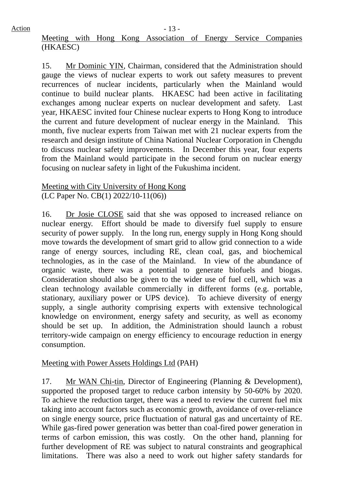$Action$   $-13$  -

# Meeting with Hong Kong Association of Energy Service Companies (HKAESC)

15. Mr Dominic YIN, Chairman, considered that the Administration should gauge the views of nuclear experts to work out safety measures to prevent recurrences of nuclear incidents, particularly when the Mainland would continue to build nuclear plants. HKAESC had been active in facilitating exchanges among nuclear experts on nuclear development and safety. Last year, HKAESC invited four Chinese nuclear experts to Hong Kong to introduce the current and future development of nuclear energy in the Mainland. This month, five nuclear experts from Taiwan met with 21 nuclear experts from the research and design institute of China National Nuclear Corporation in Chengdu to discuss nuclear safety improvements. In December this year, four experts from the Mainland would participate in the second forum on nuclear energy focusing on nuclear safety in light of the Fukushima incident.

## Meeting with City University of Hong Kong (LC Paper No. CB(1) 2022/10-11(06))

16. Dr Josie CLOSE said that she was opposed to increased reliance on nuclear energy. Effort should be made to diversify fuel supply to ensure security of power supply. In the long run, energy supply in Hong Kong should move towards the development of smart grid to allow grid connection to a wide range of energy sources, including RE, clean coal, gas, and biochemical technologies, as in the case of the Mainland. In view of the abundance of organic waste, there was a potential to generate biofuels and biogas. Consideration should also be given to the wider use of fuel cell, which was a clean technology available commercially in different forms (e.g. portable, stationary, auxiliary power or UPS device). To achieve diversity of energy supply, a single authority comprising experts with extensive technological knowledge on environment, energy safety and security, as well as economy should be set up. In addition, the Administration should launch a robust territory-wide campaign on energy efficiency to encourage reduction in energy consumption.

# Meeting with Power Assets Holdings Ltd (PAH)

17. Mr WAN Chi-tin, Director of Engineering (Planning & Development), supported the proposed target to reduce carbon intensity by 50-60% by 2020. To achieve the reduction target, there was a need to review the current fuel mix taking into account factors such as economic growth, avoidance of over-reliance on single energy source, price fluctuation of natural gas and uncertainty of RE. While gas-fired power generation was better than coal-fired power generation in terms of carbon emission, this was costly. On the other hand, planning for further development of RE was subject to natural constraints and geographical limitations. There was also a need to work out higher safety standards for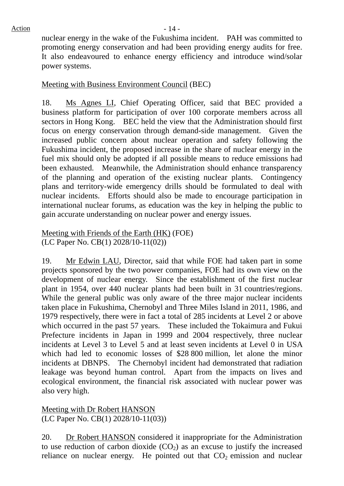nuclear energy in the wake of the Fukushima incident. PAH was committed to promoting energy conservation and had been providing energy audits for free. It also endeavoured to enhance energy efficiency and introduce wind/solar power systems.

# Meeting with Business Environment Council (BEC)

18. Ms Agnes LI, Chief Operating Officer, said that BEC provided a business platform for participation of over 100 corporate members across all sectors in Hong Kong. BEC held the view that the Administration should first focus on energy conservation through demand-side management. Given the increased public concern about nuclear operation and safety following the Fukushima incident, the proposed increase in the share of nuclear energy in the fuel mix should only be adopted if all possible means to reduce emissions had been exhausted. Meanwhile, the Administration should enhance transparency of the planning and operation of the existing nuclear plants. Contingency plans and territory-wide emergency drills should be formulated to deal with nuclear incidents. Efforts should also be made to encourage participation in international nuclear forums, as education was the key in helping the public to gain accurate understanding on nuclear power and energy issues.

## Meeting with Friends of the Earth (HK) (FOE) (LC Paper No. CB(1) 2028/10-11(02))

19. Mr Edwin LAU, Director, said that while FOE had taken part in some projects sponsored by the two power companies, FOE had its own view on the development of nuclear energy. Since the establishment of the first nuclear plant in 1954, over 440 nuclear plants had been built in 31 countries/regions. While the general public was only aware of the three major nuclear incidents taken place in Fukushima, Chernobyl and Three Miles Island in 2011, 1986, and 1979 respectively, there were in fact a total of 285 incidents at Level 2 or above which occurred in the past 57 years. These included the Tokaimura and Fukui Prefecture incidents in Japan in 1999 and 2004 respectively, three nuclear incidents at Level 3 to Level 5 and at least seven incidents at Level 0 in USA which had led to economic losses of \$28 800 million, let alone the minor incidents at DBNPS. The Chernobyl incident had demonstrated that radiation leakage was beyond human control. Apart from the impacts on lives and ecological environment, the financial risk associated with nuclear power was also very high.

Meeting with Dr Robert HANSON (LC Paper No. CB(1) 2028/10-11(03))

20. Dr Robert HANSON considered it inappropriate for the Administration to use reduction of carbon dioxide  $(CO<sub>2</sub>)$  as an excuse to justify the increased reliance on nuclear energy. He pointed out that  $CO<sub>2</sub>$  emission and nuclear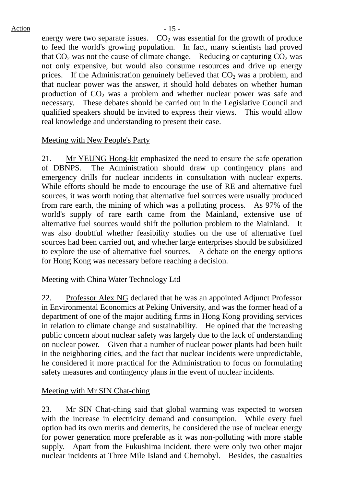#### $Action$   $-15$  -

energy were two separate issues.  $CO<sub>2</sub>$  was essential for the growth of produce to feed the world's growing population. In fact, many scientists had proved that  $CO<sub>2</sub>$  was not the cause of climate change. Reducing or capturing  $CO<sub>2</sub>$  was not only expensive, but would also consume resources and drive up energy prices. If the Administration genuinely believed that  $CO<sub>2</sub>$  was a problem, and that nuclear power was the answer, it should hold debates on whether human production of  $CO<sub>2</sub>$  was a problem and whether nuclear power was safe and necessary. These debates should be carried out in the Legislative Council and qualified speakers should be invited to express their views. This would allow real knowledge and understanding to present their case.

# Meeting with New People's Party

21. Mr YEUNG Hong-kit emphasized the need to ensure the safe operation of DBNPS. The Administration should draw up contingency plans and emergency drills for nuclear incidents in consultation with nuclear experts. While efforts should be made to encourage the use of RE and alternative fuel sources, it was worth noting that alternative fuel sources were usually produced from rare earth, the mining of which was a polluting process. As 97% of the world's supply of rare earth came from the Mainland, extensive use of alternative fuel sources would shift the pollution problem to the Mainland. It was also doubtful whether feasibility studies on the use of alternative fuel sources had been carried out, and whether large enterprises should be subsidized to explore the use of alternative fuel sources. A debate on the energy options for Hong Kong was necessary before reaching a decision.

# Meeting with China Water Technology Ltd

22. Professor Alex NG declared that he was an appointed Adjunct Professor in Environmental Economics at Peking University, and was the former head of a department of one of the major auditing firms in Hong Kong providing services in relation to climate change and sustainability. He opined that the increasing public concern about nuclear safety was largely due to the lack of understanding on nuclear power. Given that a number of nuclear power plants had been built in the neighboring cities, and the fact that nuclear incidents were unpredictable, he considered it more practical for the Administration to focus on formulating safety measures and contingency plans in the event of nuclear incidents.

# Meeting with Mr SIN Chat-ching

23. Mr SIN Chat-ching said that global warming was expected to worsen with the increase in electricity demand and consumption. While every fuel option had its own merits and demerits, he considered the use of nuclear energy for power generation more preferable as it was non-polluting with more stable supply. Apart from the Fukushima incident, there were only two other major nuclear incidents at Three Mile Island and Chernobyl. Besides, the casualties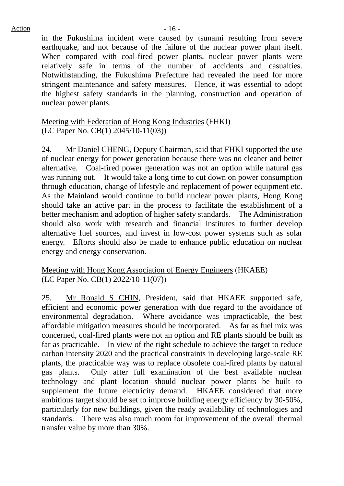$Action$   $-16$  -

in the Fukushima incident were caused by tsunami resulting from severe earthquake, and not because of the failure of the nuclear power plant itself. When compared with coal-fired power plants, nuclear power plants were relatively safe in terms of the number of accidents and casualties. Notwithstanding, the Fukushima Prefecture had revealed the need for more stringent maintenance and safety measures. Hence, it was essential to adopt the highest safety standards in the planning, construction and operation of nuclear power plants.

Meeting with Federation of Hong Kong Industries (FHKI) (LC Paper No. CB(1) 2045/10-11(03))

24. Mr Daniel CHENG, Deputy Chairman, said that FHKI supported the use of nuclear energy for power generation because there was no cleaner and better alternative. Coal-fired power generation was not an option while natural gas was running out. It would take a long time to cut down on power consumption through education, change of lifestyle and replacement of power equipment etc. As the Mainland would continue to build nuclear power plants, Hong Kong should take an active part in the process to facilitate the establishment of a better mechanism and adoption of higher safety standards. The Administration should also work with research and financial institutes to further develop alternative fuel sources, and invest in low-cost power systems such as solar energy. Efforts should also be made to enhance public education on nuclear energy and energy conservation.

# Meeting with Hong Kong Association of Energy Engineers (HKAEE) (LC Paper No. CB(1) 2022/10-11(07))

25. Mr Ronald S CHIN, President, said that HKAEE supported safe, efficient and economic power generation with due regard to the avoidance of environmental degradation. Where avoidance was impracticable, the best affordable mitigation measures should be incorporated. As far as fuel mix was concerned, coal-fired plants were not an option and RE plants should be built as far as practicable. In view of the tight schedule to achieve the target to reduce carbon intensity 2020 and the practical constraints in developing large-scale RE plants, the practicable way was to replace obsolete coal-fired plants by natural gas plants. Only after full examination of the best available nuclear technology and plant location should nuclear power plants be built to supplement the future electricity demand. HKAEE considered that more ambitious target should be set to improve building energy efficiency by 30-50%, particularly for new buildings, given the ready availability of technologies and standards. There was also much room for improvement of the overall thermal transfer value by more than 30%.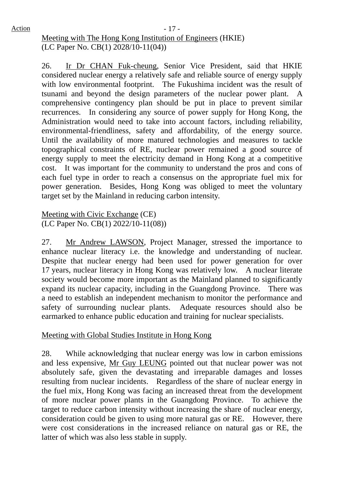$Action$   $-17$  -Meeting with The Hong Kong Institution of Engineers (HKIE) (LC Paper No. CB(1) 2028/10-11(04))

> 26. Ir Dr CHAN Fuk-cheung, Senior Vice President, said that HKIE considered nuclear energy a relatively safe and reliable source of energy supply with low environmental footprint. The Fukushima incident was the result of tsunami and beyond the design parameters of the nuclear power plant. A comprehensive contingency plan should be put in place to prevent similar recurrences. In considering any source of power supply for Hong Kong, the Administration would need to take into account factors, including reliability, environmental-friendliness, safety and affordability, of the energy source. Until the availability of more matured technologies and measures to tackle topographical constraints of RE, nuclear power remained a good source of energy supply to meet the electricity demand in Hong Kong at a competitive cost. It was important for the community to understand the pros and cons of each fuel type in order to reach a consensus on the appropriate fuel mix for power generation. Besides, Hong Kong was obliged to meet the voluntary target set by the Mainland in reducing carbon intensity.

Meeting with Civic Exchange (CE) (LC Paper No. CB(1) 2022/10-11(08))

27. Mr Andrew LAWSON, Project Manager, stressed the importance to enhance nuclear literacy i.e. the knowledge and understanding of nuclear. Despite that nuclear energy had been used for power generation for over 17 years, nuclear literacy in Hong Kong was relatively low. A nuclear literate society would become more important as the Mainland planned to significantly expand its nuclear capacity, including in the Guangdong Province. There was a need to establish an independent mechanism to monitor the performance and safety of surrounding nuclear plants. Adequate resources should also be earmarked to enhance public education and training for nuclear specialists.

Meeting with Global Studies Institute in Hong Kong

28. While acknowledging that nuclear energy was low in carbon emissions and less expensive, Mr Guy LEUNG pointed out that nuclear power was not absolutely safe, given the devastating and irreparable damages and losses resulting from nuclear incidents. Regardless of the share of nuclear energy in the fuel mix, Hong Kong was facing an increased threat from the development of more nuclear power plants in the Guangdong Province. To achieve the target to reduce carbon intensity without increasing the share of nuclear energy, consideration could be given to using more natural gas or RE. However, there were cost considerations in the increased reliance on natural gas or RE, the latter of which was also less stable in supply.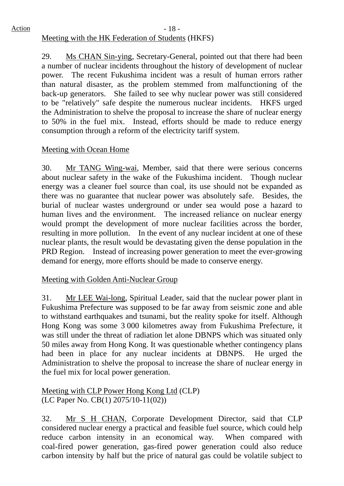## $Action$   $-18$  -Meeting with the HK Federation of Students (HKFS)

29. Ms CHAN Sin-ying, Secretary-General, pointed out that there had been a number of nuclear incidents throughout the history of development of nuclear power. The recent Fukushima incident was a result of human errors rather than natural disaster, as the problem stemmed from malfunctioning of the back-up generators. She failed to see why nuclear power was still considered to be "relatively" safe despite the numerous nuclear incidents. HKFS urged the Administration to shelve the proposal to increase the share of nuclear energy to 50% in the fuel mix. Instead, efforts should be made to reduce energy consumption through a reform of the electricity tariff system.

# Meeting with Ocean Home

30. Mr TANG Wing-wai, Member, said that there were serious concerns about nuclear safety in the wake of the Fukushima incident. Though nuclear energy was a cleaner fuel source than coal, its use should not be expanded as there was no guarantee that nuclear power was absolutely safe. Besides, the burial of nuclear wastes underground or under sea would pose a hazard to human lives and the environment. The increased reliance on nuclear energy would prompt the development of more nuclear facilities across the border, resulting in more pollution. In the event of any nuclear incident at one of these nuclear plants, the result would be devastating given the dense population in the PRD Region. Instead of increasing power generation to meet the ever-growing demand for energy, more efforts should be made to conserve energy.

# Meeting with Golden Anti-Nuclear Group

31. Mr LEE Wai-long, Spiritual Leader, said that the nuclear power plant in Fukushima Prefecture was supposed to be far away from seismic zone and able to withstand earthquakes and tsunami, but the reality spoke for itself. Although Hong Kong was some 3 000 kilometres away from Fukushima Prefecture, it was still under the threat of radiation let alone DBNPS which was situated only 50 miles away from Hong Kong. It was questionable whether contingency plans had been in place for any nuclear incidents at DBNPS. He urged the Administration to shelve the proposal to increase the share of nuclear energy in the fuel mix for local power generation.

Meeting with CLP Power Hong Kong Ltd (CLP) (LC Paper No. CB(1) 2075/10-11(02))

32. Mr S H CHAN, Corporate Development Director, said that CLP considered nuclear energy a practical and feasible fuel source, which could help reduce carbon intensity in an economical way. When compared with coal-fired power generation, gas-fired power generation could also reduce carbon intensity by half but the price of natural gas could be volatile subject to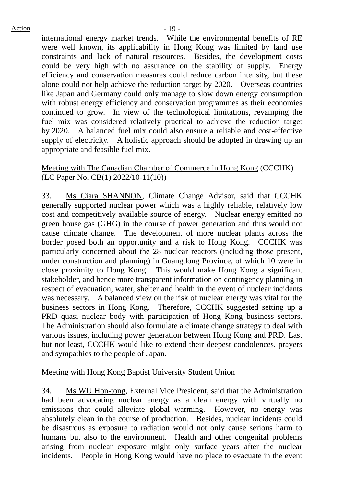international energy market trends. While the environmental benefits of RE were well known, its applicability in Hong Kong was limited by land use constraints and lack of natural resources. Besides, the development costs could be very high with no assurance on the stability of supply. Energy efficiency and conservation measures could reduce carbon intensity, but these alone could not help achieve the reduction target by 2020. Overseas countries like Japan and Germany could only manage to slow down energy consumption with robust energy efficiency and conservation programmes as their economies continued to grow. In view of the technological limitations, revamping the fuel mix was considered relatively practical to achieve the reduction target by 2020. A balanced fuel mix could also ensure a reliable and cost-effective supply of electricity. A holistic approach should be adopted in drawing up an appropriate and feasible fuel mix.

## Meeting with The Canadian Chamber of Commerce in Hong Kong (CCCHK) (LC Paper No. CB(1) 2022/10-11(10))

33. Ms Ciara SHANNON, Climate Change Advisor, said that CCCHK generally supported nuclear power which was a highly reliable, relatively low cost and competitively available source of energy. Nuclear energy emitted no green house gas (GHG) in the course of power generation and thus would not cause climate change. The development of more nuclear plants across the border posed both an opportunity and a risk to Hong Kong. CCCHK was particularly concerned about the 28 nuclear reactors (including those present, under construction and planning) in Guangdong Province, of which 10 were in close proximity to Hong Kong. This would make Hong Kong a significant stakeholder, and hence more transparent information on contingency planning in respect of evacuation, water, shelter and health in the event of nuclear incidents was necessary. A balanced view on the risk of nuclear energy was vital for the business sectors in Hong Kong. Therefore, CCCHK suggested setting up a PRD quasi nuclear body with participation of Hong Kong business sectors. The Administration should also formulate a climate change strategy to deal with various issues, including power generation between Hong Kong and PRD. Last but not least, CCCHK would like to extend their deepest condolences, prayers and sympathies to the people of Japan.

# Meeting with Hong Kong Baptist University Student Union

34. Ms WU Hon-tong, External Vice President, said that the Administration had been advocating nuclear energy as a clean energy with virtually no emissions that could alleviate global warming. However, no energy was absolutely clean in the course of production. Besides, nuclear incidents could be disastrous as exposure to radiation would not only cause serious harm to humans but also to the environment. Health and other congenital problems arising from nuclear exposure might only surface years after the nuclear incidents. People in Hong Kong would have no place to evacuate in the event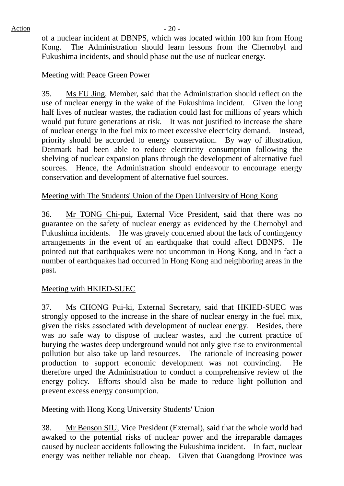of a nuclear incident at DBNPS, which was located within 100 km from Hong Kong. The Administration should learn lessons from the Chernobyl and Fukushima incidents, and should phase out the use of nuclear energy.

## Meeting with Peace Green Power

35. Ms FU Jing, Member, said that the Administration should reflect on the use of nuclear energy in the wake of the Fukushima incident. Given the long half lives of nuclear wastes, the radiation could last for millions of years which would put future generations at risk. It was not justified to increase the share of nuclear energy in the fuel mix to meet excessive electricity demand. Instead, priority should be accorded to energy conservation. By way of illustration, Denmark had been able to reduce electricity consumption following the shelving of nuclear expansion plans through the development of alternative fuel sources. Hence, the Administration should endeavour to encourage energy conservation and development of alternative fuel sources.

# Meeting with The Students' Union of the Open University of Hong Kong

36. Mr TONG Chi-pui, External Vice President, said that there was no guarantee on the safety of nuclear energy as evidenced by the Chernobyl and Fukushima incidents. He was gravely concerned about the lack of contingency arrangements in the event of an earthquake that could affect DBNPS. He pointed out that earthquakes were not uncommon in Hong Kong, and in fact a number of earthquakes had occurred in Hong Kong and neighboring areas in the past.

# Meeting with HKIED-SUEC

37. Ms CHONG Pui-ki, External Secretary, said that HKIED-SUEC was strongly opposed to the increase in the share of nuclear energy in the fuel mix, given the risks associated with development of nuclear energy. Besides, there was no safe way to dispose of nuclear wastes, and the current practice of burying the wastes deep underground would not only give rise to environmental pollution but also take up land resources. The rationale of increasing power production to support economic development was not convincing. He therefore urged the Administration to conduct a comprehensive review of the energy policy. Efforts should also be made to reduce light pollution and prevent excess energy consumption.

# Meeting with Hong Kong University Students' Union

38. Mr Benson SIU, Vice President (External), said that the whole world had awaked to the potential risks of nuclear power and the irreparable damages caused by nuclear accidents following the Fukushima incident. In fact, nuclear energy was neither reliable nor cheap. Given that Guangdong Province was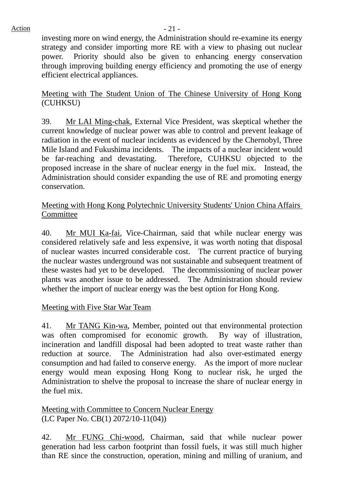investing more on wind energy, the Administration should re-examine its energy strategy and consider importing more RE with a view to phasing out nuclear power. Priority should also be given to enhancing energy conservation through improving building energy efficiency and promoting the use of energy efficient electrical appliances.

Meeting with The Student Union of The Chinese University of Hong Kong (CUHKSU)

39. Mr LAI Ming-chak, External Vice President, was skeptical whether the current knowledge of nuclear power was able to control and prevent leakage of radiation in the event of nuclear incidents as evidenced by the Chernobyl, Three Mile Island and Fukushima incidents. The impacts of a nuclear incident would be far-reaching and devastating. Therefore, CUHKSU objected to the proposed increase in the share of nuclear energy in the fuel mix. Instead, the Administration should consider expanding the use of RE and promoting energy conservation.

## Meeting with Hong Kong Polytechnic University Students' Union China Affairs Committee

40. Mr MUI Ka-fai, Vice-Chairman, said that while nuclear energy was considered relatively safe and less expensive, it was worth noting that disposal of nuclear wastes incurred considerable cost. The current practice of burying the nuclear wastes underground was not sustainable and subsequent treatment of these wastes had yet to be developed. The decommissioning of nuclear power plants was another issue to be addressed. The Administration should review whether the import of nuclear energy was the best option for Hong Kong.

# Meeting with Five Star War Team

41. Mr TANG Kin-wa, Member, pointed out that environmental protection was often compromised for economic growth. By way of illustration, incineration and landfill disposal had been adopted to treat waste rather than reduction at source. The Administration had also over-estimated energy consumption and had failed to conserve energy. As the import of more nuclear energy would mean exposing Hong Kong to nuclear risk, he urged the Administration to shelve the proposal to increase the share of nuclear energy in the fuel mix.

Meeting with Committee to Concern Nuclear Energy (LC Paper No. CB(1) 2072/10-11(04))

42. Mr FUNG Chi-wood, Chairman, said that while nuclear power generation had less carbon footprint than fossil fuels, it was still much higher than RE since the construction, operation, mining and milling of uranium, and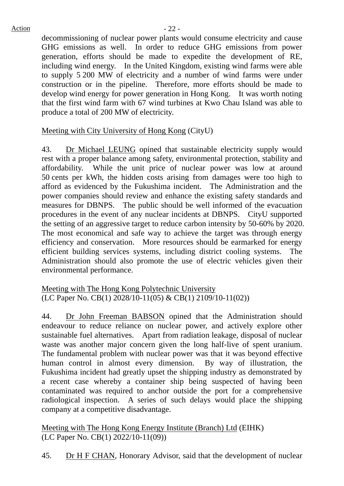decommissioning of nuclear power plants would consume electricity and cause GHG emissions as well. In order to reduce GHG emissions from power generation, efforts should be made to expedite the development of RE, including wind energy. In the United Kingdom, existing wind farms were able to supply 5 200 MW of electricity and a number of wind farms were under construction or in the pipeline. Therefore, more efforts should be made to develop wind energy for power generation in Hong Kong. It was worth noting that the first wind farm with 67 wind turbines at Kwo Chau Island was able to produce a total of 200 MW of electricity.

# Meeting with City University of Hong Kong (CityU)

43. Dr Michael LEUNG opined that sustainable electricity supply would rest with a proper balance among safety, environmental protection, stability and affordability. While the unit price of nuclear power was low at around 50 cents per kWh, the hidden costs arising from damages were too high to afford as evidenced by the Fukushima incident. The Administration and the power companies should review and enhance the existing safety standards and measures for DBNPS. The public should be well informed of the evacuation procedures in the event of any nuclear incidents at DBNPS. CityU supported the setting of an aggressive target to reduce carbon intensity by 50-60% by 2020. The most economical and safe way to achieve the target was through energy efficiency and conservation. More resources should be earmarked for energy efficient building services systems, including district cooling systems. The Administration should also promote the use of electric vehicles given their environmental performance.

Meeting with The Hong Kong Polytechnic University (LC Paper No. CB(1) 2028/10-11(05) & CB(1) 2109/10-11(02))

44. Dr John Freeman BABSON opined that the Administration should endeavour to reduce reliance on nuclear power, and actively explore other sustainable fuel alternatives. Apart from radiation leakage, disposal of nuclear waste was another major concern given the long half-live of spent uranium. The fundamental problem with nuclear power was that it was beyond effective human control in almost every dimension. By way of illustration, the Fukushima incident had greatly upset the shipping industry as demonstrated by a recent case whereby a container ship being suspected of having been contaminated was required to anchor outside the port for a comprehensive radiological inspection. A series of such delays would place the shipping company at a competitive disadvantage.

Meeting with The Hong Kong Energy Institute (Branch) Ltd (EIHK) (LC Paper No. CB(1) 2022/10-11(09))

45. Dr H F CHAN, Honorary Advisor, said that the development of nuclear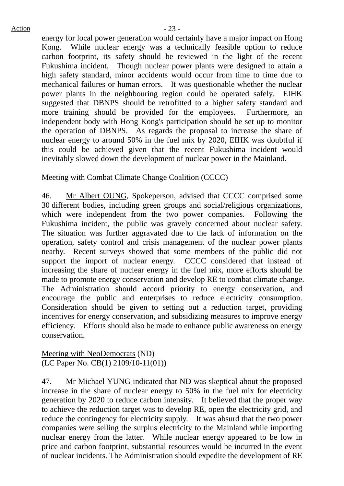energy for local power generation would certainly have a major impact on Hong Kong. While nuclear energy was a technically feasible option to reduce carbon footprint, its safety should be reviewed in the light of the recent Fukushima incident. Though nuclear power plants were designed to attain a high safety standard, minor accidents would occur from time to time due to mechanical failures or human errors. It was questionable whether the nuclear power plants in the neighbouring region could be operated safely. EIHK suggested that DBNPS should be retrofitted to a higher safety standard and more training should be provided for the employees. Furthermore, an independent body with Hong Kong's participation should be set up to monitor the operation of DBNPS. As regards the proposal to increase the share of nuclear energy to around 50% in the fuel mix by 2020, EIHK was doubtful if this could be achieved given that the recent Fukushima incident would inevitably slowed down the development of nuclear power in the Mainland.

## Meeting with Combat Climate Change Coalition (CCCC)

46. Mr Albert OUNG, Spokeperson, advised that CCCC comprised some 30 different bodies, including green groups and social/religious organizations, which were independent from the two power companies. Following the Fukushima incident, the public was gravely concerned about nuclear safety. The situation was further aggravated due to the lack of information on the operation, safety control and crisis management of the nuclear power plants nearby. Recent surveys showed that some members of the public did not support the import of nuclear energy. CCCC considered that instead of increasing the share of nuclear energy in the fuel mix, more efforts should be made to promote energy conservation and develop RE to combat climate change. The Administration should accord priority to energy conservation, and encourage the public and enterprises to reduce electricity consumption. Consideration should be given to setting out a reduction target, providing incentives for energy conservation, and subsidizing measures to improve energy efficiency. Efforts should also be made to enhance public awareness on energy conservation.

Meeting with NeoDemocrats (ND) (LC Paper No. CB(1) 2109/10-11(01))

47. Mr Michael YUNG indicated that ND was skeptical about the proposed increase in the share of nuclear energy to 50% in the fuel mix for electricity generation by 2020 to reduce carbon intensity. It believed that the proper way to achieve the reduction target was to develop RE, open the electricity grid, and reduce the contingency for electricity supply. It was absurd that the two power companies were selling the surplus electricity to the Mainland while importing nuclear energy from the latter. While nuclear energy appeared to be low in price and carbon footprint, substantial resources would be incurred in the event of nuclear incidents. The Administration should expedite the development of RE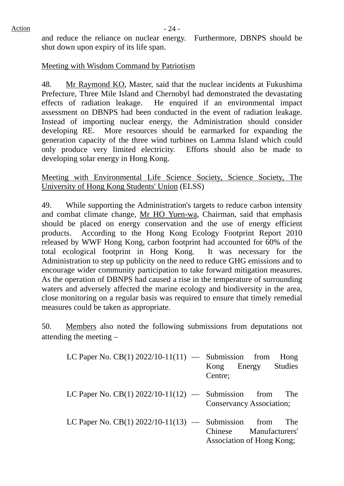and reduce the reliance on nuclear energy. Furthermore, DBNPS should be shut down upon expiry of its life span.

## Meeting with Wisdom Command by Patriotism

48. Mr Raymond KO, Master, said that the nuclear incidents at Fukushima Prefecture, Three Mile Island and Chernobyl had demonstrated the devastating effects of radiation leakage. He enquired if an environmental impact assessment on DBNPS had been conducted in the event of radiation leakage. Instead of importing nuclear energy, the Administration should consider developing RE. More resources should be earmarked for expanding the generation capacity of the three wind turbines on Lamma Island which could only produce very limited electricity. Efforts should also be made to developing solar energy in Hong Kong.

Meeting with Environmental Life Science Society, Science Society, The University of Hong Kong Students' Union (ELSS)

49. While supporting the Administration's targets to reduce carbon intensity and combat climate change, Mr HO Yuen-wa, Chairman, said that emphasis should be placed on energy conservation and the use of energy efficient products. According to the Hong Kong Ecology Footprint Report 2010 released by WWF Hong Kong, carbon footprint had accounted for 60% of the total ecological footprint in Hong Kong. It was necessary for the Administration to step up publicity on the need to reduce GHG emissions and to encourage wider community participation to take forward mitigation measures. As the operation of DBNPS had caused a rise in the temperature of surrounding waters and adversely affected the marine ecology and biodiversity in the area, close monitoring on a regular basis was required to ensure that timely remedial measures could be taken as appropriate.

50. Members also noted the following submissions from deputations not attending the meeting –

| LC Paper No. CB(1) $2022/10-11(11)$ — Submission from | Hong<br>Kong Energy Studies<br>Centre;                     |
|-------------------------------------------------------|------------------------------------------------------------|
| LC Paper No. CB(1) $2022/10-11(12)$ — Submission from | The<br><b>Conservancy Association;</b>                     |
| LC Paper No. CB(1) $2022/10-11(13)$ — Submission from | The<br>Chinese Manufacturers'<br>Association of Hong Kong; |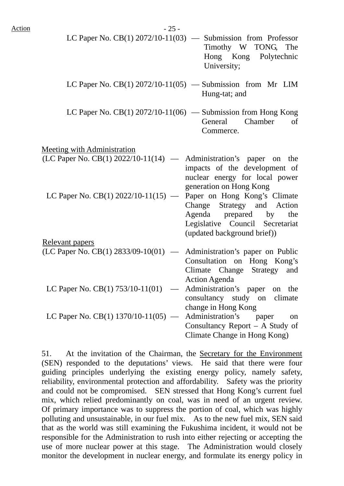| <u>Action</u> | $-25-$                                                                  |                                                                                                                                                        |
|---------------|-------------------------------------------------------------------------|--------------------------------------------------------------------------------------------------------------------------------------------------------|
|               |                                                                         | LC Paper No. $CB(1)$ 2072/10-11(03) — Submission from Professor<br>Timothy W TONG, The<br>Hong Kong Polytechnic<br>University;                         |
|               |                                                                         | LC Paper No. CB(1) $2072/10-11(05)$ — Submission from Mr LIM<br>Hung-tat; and                                                                          |
|               |                                                                         | LC Paper No. CB(1) $2072/10-11(06)$ — Submission from Hong Kong<br>General<br>Chamber<br>of<br>Commerce.                                               |
|               | <b>Meeting with Administration</b>                                      |                                                                                                                                                        |
|               | $(LC$ Paper No. $CB(1)$ 2022/10-11(14) — Administration's paper on the  | impacts of the development of<br>nuclear energy for local power<br>generation on Hong Kong                                                             |
|               | LC Paper No. CB(1) $2022/10-11(15)$ —                                   | Paper on Hong Kong's Climate<br>Change Strategy and Action<br>Agenda prepared by the<br>Legislative Council Secretariat<br>(updated background brief)) |
|               | <b>Relevant papers</b>                                                  |                                                                                                                                                        |
|               | (LC Paper No. CB(1) $2833/09-10(01)$ — Administration's paper on Public | Consultation on Hong Kong's<br>Strategy and<br>Climate Change<br><b>Action Agenda</b>                                                                  |
|               | LC Paper No. CB(1) $753/10-11(01)$                                      | Administration's paper<br>on the<br>consultancy study on climate<br>change in Hong Kong                                                                |
|               | LC Paper No. CB(1) $1370/10-11(05)$ —                                   | Administration's<br>paper<br>on<br>Consultancy Report – A Study of<br>Climate Change in Hong Kong)                                                     |

51. At the invitation of the Chairman, the Secretary for the Environment (SEN) responded to the deputations' views. He said that there were four guiding principles underlying the existing energy policy, namely safety, reliability, environmental protection and affordability. Safety was the priority and could not be compromised. SEN stressed that Hong Kong's current fuel mix, which relied predominantly on coal, was in need of an urgent review. Of primary importance was to suppress the portion of coal, which was highly polluting and unsustainable, in our fuel mix. As to the new fuel mix, SEN said that as the world was still examining the Fukushima incident, it would not be responsible for the Administration to rush into either rejecting or accepting the use of more nuclear power at this stage. The Administration would closely monitor the development in nuclear energy, and formulate its energy policy in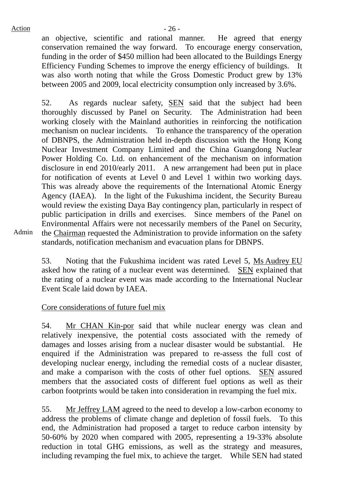an objective, scientific and rational manner. He agreed that energy conservation remained the way forward. To encourage energy conservation, funding in the order of \$450 million had been allocated to the Buildings Energy Efficiency Funding Schemes to improve the energy efficiency of buildings. It was also worth noting that while the Gross Domestic Product grew by 13% between 2005 and 2009, local electricity consumption only increased by 3.6%.

52. As regards nuclear safety, SEN said that the subject had been thoroughly discussed by Panel on Security. The Administration had been working closely with the Mainland authorities in reinforcing the notification mechanism on nuclear incidents. To enhance the transparency of the operation of DBNPS, the Administration held in-depth discussion with the Hong Kong Nuclear Investment Company Limited and the China Guangdong Nuclear Power Holding Co. Ltd. on enhancement of the mechanism on information disclosure in end 2010/early 2011. A new arrangement had been put in place for notification of events at Level 0 and Level 1 within two working days. This was already above the requirements of the International Atomic Energy Agency (IAEA). In the light of the Fukushima incident, the Security Bureau would review the existing Daya Bay contingency plan, particularly in respect of public participation in drills and exercises. Since members of the Panel on Environmental Affairs were not necessarily members of the Panel on Security, the Chairman requested the Administration to provide information on the safety standards, notification mechanism and evacuation plans for DBNPS.

Admin

53. Noting that the Fukushima incident was rated Level 5, Ms Audrey EU asked how the rating of a nuclear event was determined. SEN explained that the rating of a nuclear event was made according to the International Nuclear Event Scale laid down by IAEA.

## Core considerations of future fuel mix

54. Mr CHAN Kin-por said that while nuclear energy was clean and relatively inexpensive, the potential costs associated with the remedy of damages and losses arising from a nuclear disaster would be substantial. He enquired if the Administration was prepared to re-assess the full cost of developing nuclear energy, including the remedial costs of a nuclear disaster, and make a comparison with the costs of other fuel options. SEN assured members that the associated costs of different fuel options as well as their carbon footprints would be taken into consideration in revamping the fuel mix.

55. Mr Jeffrey LAM agreed to the need to develop a low-carbon economy to address the problems of climate change and depletion of fossil fuels. To this end, the Administration had proposed a target to reduce carbon intensity by 50-60% by 2020 when compared with 2005, representing a 19-33% absolute reduction in total GHG emissions, as well as the strategy and measures, including revamping the fuel mix, to achieve the target. While SEN had stated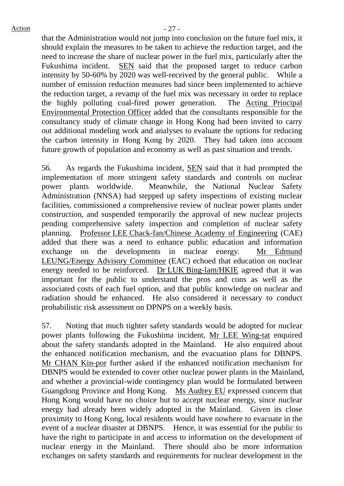that the Administration would not jump into conclusion on the future fuel mix, it should explain the measures to be taken to achieve the reduction target, and the need to increase the share of nuclear power in the fuel mix, particularly after the Fukushima incident. SEN said that the proposed target to reduce carbon intensity by 50-60% by 2020 was well-received by the general public. While a number of emission reduction measures had since been implemented to achieve the reduction target, a revamp of the fuel mix was necessary in order to replace the highly polluting coal-fired power generation. The Acting Principal Environmental Protection Officer added that the consultants responsible for the consultancy study of climate change in Hong Kong had been invited to carry out additional modeling work and analyses to evaluate the options for reducing the carbon intensity in Hong Kong by 2020. They had taken into account future growth of population and economy as well as past situation and trends.

56. As regards the Fukushima incident, SEN said that it had prompted the implementation of more stringent safety standards and controls on nuclear power plants worldwide. Meanwhile, the National Nuclear Safety Administration (NNSA) had stepped up safety inspections of existing nuclear facilities, commissioned a comprehensive review of nuclear power plants under construction, and suspended temporarily the approval of new nuclear projects pending comprehensive safety inspection and completion of nuclear safety planning. Professor LEE Chack-fan/Chinese Academy of Engineering (CAE) added that there was a need to enhance public education and information exchange on the developments in nuclear energy. Mr Edmund LEUNG/Energy Advisory Committee (EAC) echoed that education on nuclear energy needed to be reinforced. Dr LUK Bing-lam/HKIE agreed that it was important for the public to understand the pros and cons as well as the associated costs of each fuel option, and that public knowledge on nuclear and radiation should be enhanced. He also considered it necessary to conduct probabilistic risk assessment on DPNPS on a weekly basis.

57. Noting that much tighter safety standards would be adopted for nuclear power plants following the Fukushima incident, Mr LEE Wing-tat enquired about the safety standards adopted in the Mainland. He also enquired about the enhanced notification mechanism, and the evacuation plans for DBNPS. Mr CHAN Kin-por further asked if the enhanced notification mechanism for DBNPS would be extended to cover other nuclear power plants in the Mainland, and whether a provincial-wide contingency plan would be formulated between Guangdong Province and Hong Kong. Ms Audrey EU expressed concern that Hong Kong would have no choice but to accept nuclear energy, since nuclear energy had already been widely adopted in the Mainland. Given its close proximity to Hong Kong, local residents would have nowhere to evacuate in the event of a nuclear disaster at DBNPS. Hence, it was essential for the public to have the right to participate in and access to information on the development of nuclear energy in the Mainland. There should also be more information exchanges on safety standards and requirements for nuclear development in the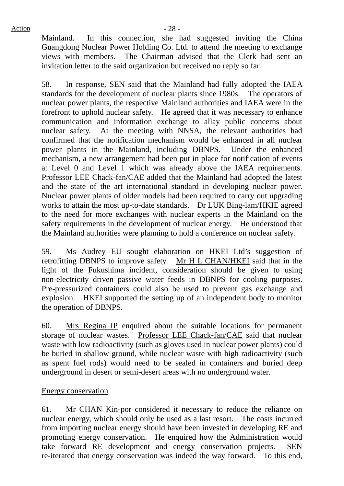Mainland. In this connection, she had suggested inviting the China Guangdong Nuclear Power Holding Co. Ltd. to attend the meeting to exchange views with members. The Chairman advised that the Clerk had sent an invitation letter to the said organization but received no reply so far.

58. In response, SEN said that the Mainland had fully adopted the IAEA standards for the development of nuclear plants since 1980s. The operators of nuclear power plants, the respective Mainland authorities and IAEA were in the forefront to uphold nuclear safety. He agreed that it was necessary to enhance communication and information exchange to allay public concerns about nuclear safety. At the meeting with NNSA, the relevant authorities had confirmed that the notification mechanism would be enhanced in all nuclear power plants in the Mainland, including DBNPS. Under the enhanced mechanism, a new arrangement had been put in place for notification of events at Level 0 and Level 1 which was already above the IAEA requirements. Professor LEE Chack-fan/CAE added that the Mainland had adopted the latest and the state of the art international standard in developing nuclear power. Nuclear power plants of older models had been required to carry out upgrading works to attain the most up-to-date standards. Dr LUK Bing-lam/HKIE agreed to the need for more exchanges with nuclear experts in the Mainland on the safety requirements in the development of nuclear energy. He understood that the Mainland authorities were planning to hold a conference on nuclear safety.

59. Ms Audrey EU sought elaboration on HKEI Ltd's suggestion of retrofitting DBNPS to improve safety. Mr H L CHAN/HKEI said that in the light of the Fukushima incident, consideration should be given to using non-electricity driven passive water feeds in DBNPS for cooling purposes. Pre-pressurized containers could also be used to prevent gas exchange and explosion. HKEI supported the setting up of an independent body to monitor the operation of DBNPS.

60. Mrs Regina IP enquired about the suitable locations for permanent storage of nuclear wastes. Professor LEE Chack-fan/CAE said that nuclear waste with low radioactivity (such as gloves used in nuclear power plants) could be buried in shallow ground, while nuclear waste with high radioactivity (such as spent fuel rods) would need to be sealed in containers and buried deep underground in desert or semi-desert areas with no underground water.

## Energy conservation

61. Mr CHAN Kin-por considered it necessary to reduce the reliance on nuclear energy, which should only be used as a last resort. The costs incurred from importing nuclear energy should have been invested in developing RE and promoting energy conservation. He enquired how the Administration would take forward RE development and energy conservation projects. SEN re-iterated that energy conservation was indeed the way forward. To this end,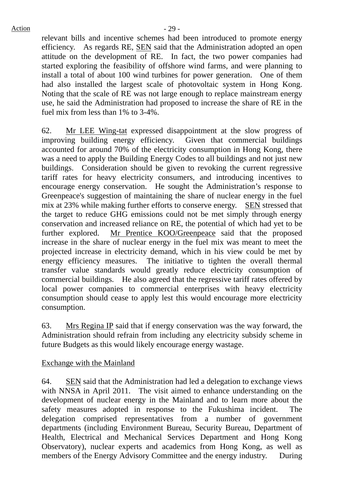relevant bills and incentive schemes had been introduced to promote energy efficiency. As regards RE, SEN said that the Administration adopted an open attitude on the development of RE. In fact, the two power companies had started exploring the feasibility of offshore wind farms, and were planning to install a total of about 100 wind turbines for power generation. One of them had also installed the largest scale of photovoltaic system in Hong Kong. Noting that the scale of RE was not large enough to replace mainstream energy use, he said the Administration had proposed to increase the share of RE in the fuel mix from less than 1% to 3-4%.

62. Mr LEE Wing-tat expressed disappointment at the slow progress of improving building energy efficiency. Given that commercial buildings accounted for around 70% of the electricity consumption in Hong Kong, there was a need to apply the Building Energy Codes to all buildings and not just new buildings. Consideration should be given to revoking the current regressive tariff rates for heavy electricity consumers, and introducing incentives to encourage energy conservation. He sought the Administration's response to Greenpeace's suggestion of maintaining the share of nuclear energy in the fuel mix at 23% while making further efforts to conserve energy. SEN stressed that the target to reduce GHG emissions could not be met simply through energy conservation and increased reliance on RE, the potential of which had yet to be further explored. Mr Prentice KOO/Greenpeace said that the proposed increase in the share of nuclear energy in the fuel mix was meant to meet the projected increase in electricity demand, which in his view could be met by energy efficiency measures. The initiative to tighten the overall thermal transfer value standards would greatly reduce electricity consumption of commercial buildings. He also agreed that the regressive tariff rates offered by local power companies to commercial enterprises with heavy electricity consumption should cease to apply lest this would encourage more electricity consumption.

63. Mrs Regina IP said that if energy conservation was the way forward, the Administration should refrain from including any electricity subsidy scheme in future Budgets as this would likely encourage energy wastage.

Exchange with the Mainland

64. SEN said that the Administration had led a delegation to exchange views with NNSA in April 2011. The visit aimed to enhance understanding on the development of nuclear energy in the Mainland and to learn more about the safety measures adopted in response to the Fukushima incident. The delegation comprised representatives from a number of government departments (including Environment Bureau, Security Bureau, Department of Health, Electrical and Mechanical Services Department and Hong Kong Observatory), nuclear experts and academics from Hong Kong, as well as members of the Energy Advisory Committee and the energy industry. During